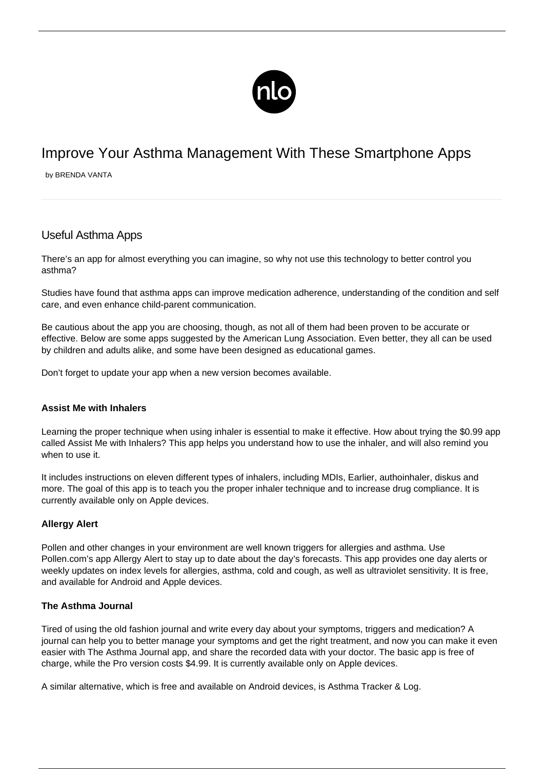

# Improve Your Asthma Management With These Smartphone Apps

by BRENDA VANTA

# Useful Asthma Apps

There's an app for almost everything you can imagine, so why not use this technology to better control you asthma?

Studies have found that asthma apps can improve medication adherence, understanding of the condition and self care, and even enhance child-parent communication.

Be cautious about the app you are choosing, though, as not all of them had been proven to be accurate or effective. Below are some apps suggested by the American Lung Association. Even better, they all can be used by children and adults alike, and some have been designed as educational games.

Don't forget to update your app when a new version becomes available.

#### **Assist Me with Inhalers**

Learning the proper technique when using inhaler is essential to make it effective. How about trying the \$0.99 app called [Assist Me with Inhalers?](https://itunes.apple.com/us/app/assist-me-with-inhalers/id590417707?mt=8) This app helps you understand how to use the inhaler, and will also remind you when to use it.

It includes instructions on eleven different types of inhalers, including MDIs, Earlier, authoinhaler, diskus and more. The goal of this app is to teach you the proper inhaler technique and to increase drug compliance. It is currently available only on Apple devices.

#### **Allergy Alert**

Pollen and other changes in your environment are well known triggers for [allergies and asthma.](/asthma-allergies/) Use Pollen.com's app Allergy Alert to stay up to date about the day's forecasts. This app provides one day alerts or weekly updates on index levels for allergies, asthma, cold and cough, as well as ultraviolet sensitivity. It is free, and available for Android and Apple devices.

### **The Asthma Journal**

Tired of using the old fashion journal and write every day about your symptoms, triggers and medication? A journal can help you to better manage your symptoms and get the right treatment, and now you can make it even easier with [The Asthma Journal](https://itunes.apple.com/us/app/asthma-journal-pro/id321929833?mt=8) app, and share the recorded data with your doctor. The basic app is free of charge, while the Pro version costs \$4.99. It is currently available only on Apple devices.

A similar alternative, which is free and available on Android devices, is [Asthma Tracker & Log](https://play.google.com/store/apps/details?id=rovingreptiles.asthmatracker&hl=en).